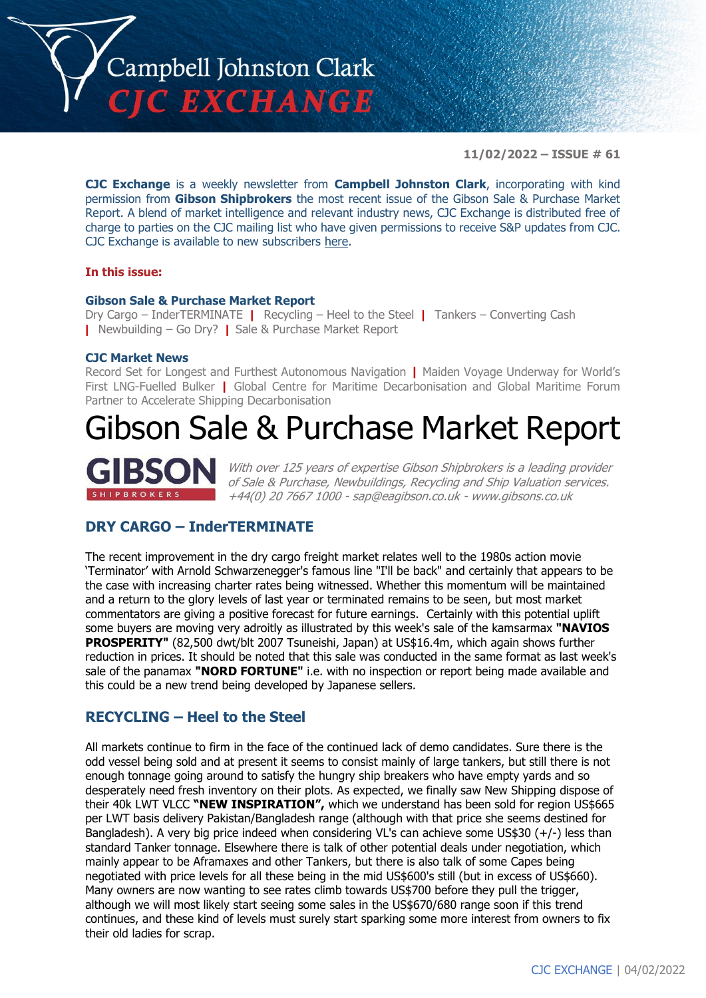

**11/02/2022 – ISSUE # 61**

**CJC Exchange** is a weekly newsletter from **Campbell Johnston Clark**, incorporating with kind permission from **Gibson Shipbrokers** the most recent issue of the Gibson Sale & Purchase Market Report. A blend of market intelligence and relevant industry news, CJC Exchange is distributed free of charge to parties on the CJC mailing list who have given permissions to receive S&P updates from CJC. CJC Exchange is available to new subscribers [here.](mailto:jamesc@cjclaw.com?subject=CJC%20Exchange%20sign-up)

#### **In this issue:**

#### **Gibson Sale & Purchase Market Report**

Dry Cargo – InderTERMINATE **|** Recycling – Heel to the Steel **|** Tankers – Converting Cash **|** Newbuilding – Go Dry? **|** Sale & Purchase Market Report

#### **CJC Market News**

Record Set for Longest and Furthest Autonomous Navigation **|** Maiden Voyage Underway for World's First LNG-Fuelled Bulker **|** Global Centre for Maritime Decarbonisation and Global Maritime Forum Partner to Accelerate Shipping Decarbonisation

## Gibson Sale & Purchase Market Report

With over 125 years of expertise Gibson Shipbrokers is a leading provider of Sale & Purchase, Newbuildings, Recycling and Ship Valuation services. +44(0) 20 7667 1000 - [sap@eagibson.co.uk](mailto:sap@eagibson.co.uk) - [www.gibsons.co.uk](https://protect-eu.mimecast.com/s/VO6nCGZzRS60KqcK1jQh/)

## **DRY CARGO – InderTERMINATE**

The recent improvement in the dry cargo freight market relates well to the 1980s action movie 'Terminator' with Arnold Schwarzenegger's famous line "I'll be back" and certainly that appears to be the case with increasing charter rates being witnessed. Whether this momentum will be maintained and a return to the glory levels of last year or terminated remains to be seen, but most market commentators are giving a positive forecast for future earnings. Certainly with this potential uplift some buyers are moving very adroitly as illustrated by this week's sale of the kamsarmax **"NAVIOS PROSPERITY"** (82,500 dwt/blt 2007 Tsuneishi, Japan) at US\$16.4m, which again shows further reduction in prices. It should be noted that this sale was conducted in the same format as last week's sale of the panamax **"NORD FORTUNE"** i.e. with no inspection or report being made available and this could be a new trend being developed by Japanese sellers.

## **RECYCLING – Heel to the Steel**

All markets continue to firm in the face of the continued lack of demo candidates. Sure there is the odd vessel being sold and at present it seems to consist mainly of large tankers, but still there is not enough tonnage going around to satisfy the hungry ship breakers who have empty yards and so desperately need fresh inventory on their plots. As expected, we finally saw New Shipping dispose of their 40k LWT VLCC **"NEW INSPIRATION",** which we understand has been sold for region US\$665 per LWT basis delivery Pakistan/Bangladesh range (although with that price she seems destined for Bangladesh). A very big price indeed when considering VL's can achieve some US\$30 (+/-) less than standard Tanker tonnage. Elsewhere there is talk of other potential deals under negotiation, which mainly appear to be Aframaxes and other Tankers, but there is also talk of some Capes being negotiated with price levels for all these being in the mid US\$600's still (but in excess of US\$660). Many owners are now wanting to see rates climb towards US\$700 before they pull the trigger, although we will most likely start seeing some sales in the US\$670/680 range soon if this trend continues, and these kind of levels must surely start sparking some more interest from owners to fix their old ladies for scrap.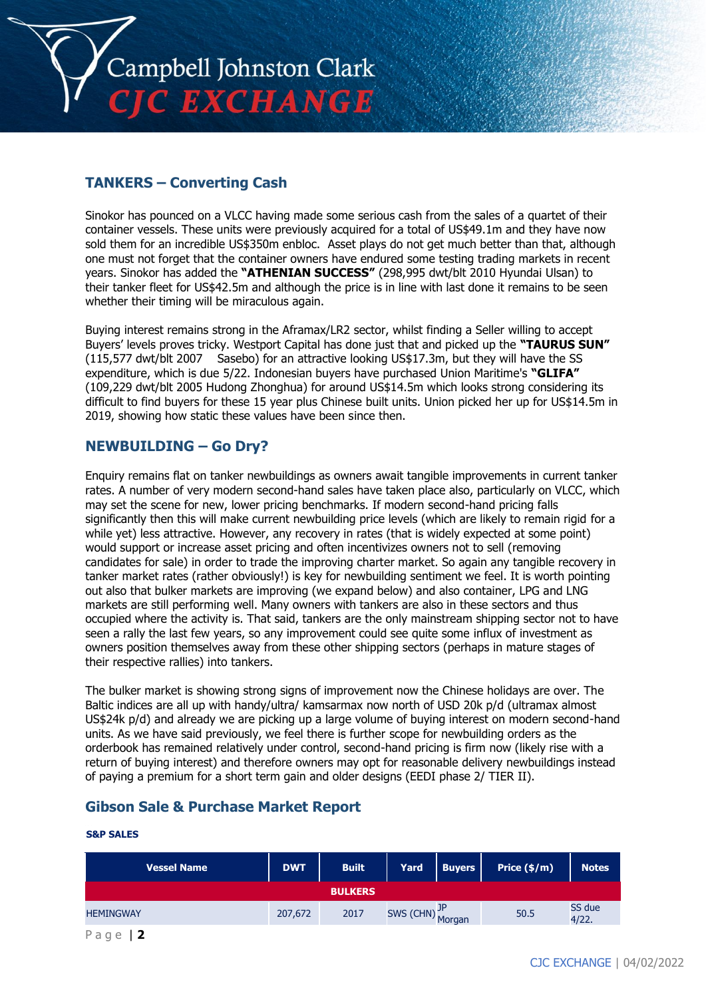

## **TANKERS – Converting Cash**

Sinokor has pounced on a VLCC having made some serious cash from the sales of a quartet of their container vessels. These units were previously acquired for a total of US\$49.1m and they have now sold them for an incredible US\$350m enbloc. Asset plays do not get much better than that, although one must not forget that the container owners have endured some testing trading markets in recent years. Sinokor has added the **"ATHENIAN SUCCESS"** (298,995 dwt/blt 2010 Hyundai Ulsan) to their tanker fleet for US\$42.5m and although the price is in line with last done it remains to be seen whether their timing will be miraculous again.

Buying interest remains strong in the Aframax/LR2 sector, whilst finding a Seller willing to accept Buyers' levels proves tricky. Westport Capital has done just that and picked up the **"TAURUS SUN"** (115,577 dwt/blt 2007 Sasebo) for an attractive looking US\$17.3m, but they will have the SS expenditure, which is due 5/22. Indonesian buyers have purchased Union Maritime's **"GLIFA"** (109,229 dwt/blt 2005 Hudong Zhonghua) for around US\$14.5m which looks strong considering its difficult to find buyers for these 15 year plus Chinese built units. Union picked her up for US\$14.5m in 2019, showing how static these values have been since then.

## **NEWBUILDING – Go Dry?**

Enquiry remains flat on tanker newbuildings as owners await tangible improvements in current tanker rates. A number of very modern second-hand sales have taken place also, particularly on VLCC, which may set the scene for new, lower pricing benchmarks. If modern second-hand pricing falls significantly then this will make current newbuilding price levels (which are likely to remain rigid for a while yet) less attractive. However, any recovery in rates (that is widely expected at some point) would support or increase asset pricing and often incentivizes owners not to sell (removing candidates for sale) in order to trade the improving charter market. So again any tangible recovery in tanker market rates (rather obviously!) is key for newbuilding sentiment we feel. It is worth pointing out also that bulker markets are improving (we expand below) and also container, LPG and LNG markets are still performing well. Many owners with tankers are also in these sectors and thus occupied where the activity is. That said, tankers are the only mainstream shipping sector not to have seen a rally the last few years, so any improvement could see quite some influx of investment as owners position themselves away from these other shipping sectors (perhaps in mature stages of their respective rallies) into tankers.

The bulker market is showing strong signs of improvement now the Chinese holidays are over. The Baltic indices are all up with handy/ultra/ kamsarmax now north of USD 20k p/d (ultramax almost US\$24k p/d) and already we are picking up a large volume of buying interest on modern second-hand units. As we have said previously, we feel there is further scope for newbuilding orders as the orderbook has remained relatively under control, second-hand pricing is firm now (likely rise with a return of buying interest) and therefore owners may opt for reasonable delivery newbuildings instead of paying a premium for a short term gain and older designs (EEDI phase 2/ TIER II).

## **Gibson Sale & Purchase Market Report**

#### **S&P SALES**

| <b>Vessel Name</b>                 | <b>DWT</b> | <b>Built</b>   | <b>Yard</b>      | <b>Buyers</b> | Price $(\frac{2}{3})$ m) | <b>Notes</b>    |
|------------------------------------|------------|----------------|------------------|---------------|--------------------------|-----------------|
|                                    |            | <b>BULKERS</b> |                  |               |                          |                 |
| <b>HEMINGWAY</b>                   | 207,672    | 2017           | SWS (CHN) Morgan |               | 50.5                     | SS due<br>4/22. |
| $\overline{\phantom{a}}$<br>$\sim$ |            |                |                  |               |                          |                 |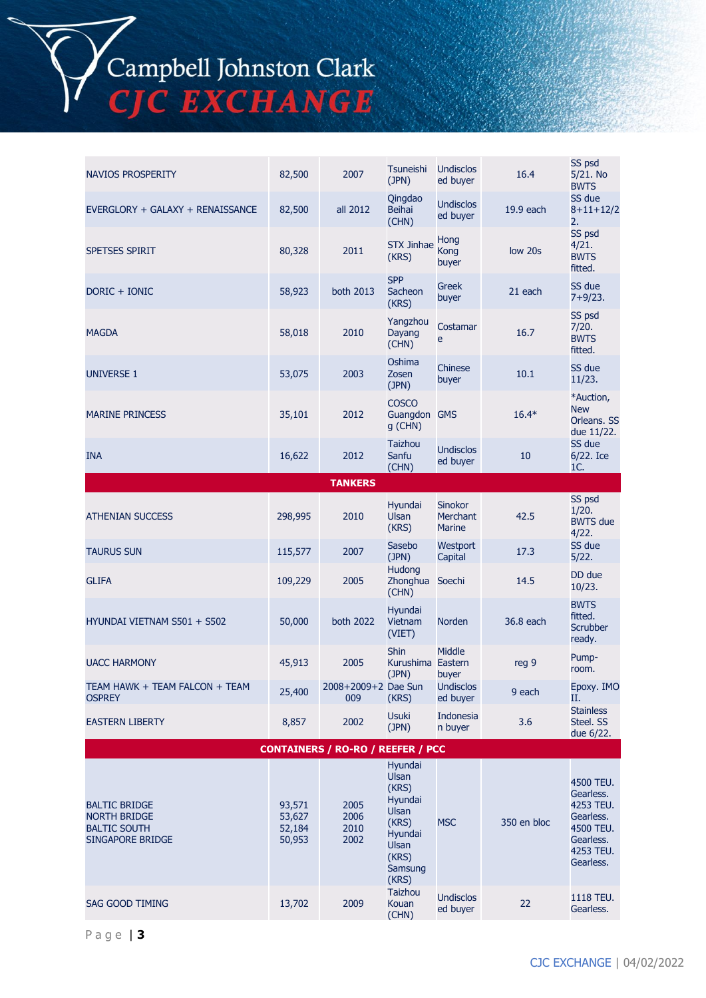Campbell Johnston Clark<br>CJC EXCHANGE

| <b>NAVIOS PROSPERITY</b>                                                               | 82,500                               | 2007                                     | Tsuneishi<br>(JPN)                                                                                             | <b>Undisclos</b><br>ed buyer                | 16.4        | SS psd<br>5/21. No<br><b>BWTS</b>                                                                    |
|----------------------------------------------------------------------------------------|--------------------------------------|------------------------------------------|----------------------------------------------------------------------------------------------------------------|---------------------------------------------|-------------|------------------------------------------------------------------------------------------------------|
| EVERGLORY + GALAXY + RENAISSANCE                                                       | 82,500                               | all 2012                                 | Qingdao<br><b>Beihai</b><br>(CHN)                                                                              | <b>Undisclos</b><br>ed buyer                | 19.9 each   | SS due<br>$8 + 11 + 12/2$<br>2.                                                                      |
| <b>SPETSES SPIRIT</b>                                                                  | 80,328                               | 2011                                     | <b>STX Jinhae</b><br>(KRS)                                                                                     | Hong<br>Kong<br>buyer                       | low 20s     | SS psd<br>4/21.<br><b>BWTS</b><br>fitted.                                                            |
| DORIC + IONIC                                                                          | 58,923                               | <b>both 2013</b>                         | <b>SPP</b><br>Sacheon<br>(KRS)                                                                                 | Greek<br>buyer                              | 21 each     | SS due<br>$7+9/23.$                                                                                  |
| <b>MAGDA</b>                                                                           | 58,018                               | 2010                                     | Yangzhou<br>Dayang<br>(CHN)                                                                                    | Costamar<br>e                               | 16.7        | SS psd<br>7/20.<br><b>BWTS</b><br>fitted.                                                            |
| <b>UNIVERSE 1</b>                                                                      | 53,075                               | 2003                                     | Oshima<br>Zosen<br>(JPN)                                                                                       | <b>Chinese</b><br>buyer                     | 10.1        | SS due<br>11/23.                                                                                     |
| <b>MARINE PRINCESS</b>                                                                 | 35,101                               | 2012                                     | <b>COSCO</b><br>Guangdon GMS<br>g (CHN)                                                                        |                                             | $16.4*$     | *Auction,<br><b>New</b><br>Orleans. SS<br>due 11/22.                                                 |
| <b>INA</b>                                                                             | 16,622                               | 2012                                     | <b>Taizhou</b><br>Sanfu<br>(CHN)                                                                               | <b>Undisclos</b><br>ed buyer                | 10          | SS due<br>6/22. Ice<br>1C.                                                                           |
|                                                                                        |                                      | <b>TANKERS</b>                           |                                                                                                                |                                             |             |                                                                                                      |
| <b>ATHENIAN SUCCESS</b>                                                                | 298,995                              | 2010                                     | Hyundai<br>Ulsan<br>(KRS)                                                                                      | <b>Sinokor</b><br>Merchant<br><b>Marine</b> | 42.5        | SS psd<br>1/20.<br><b>BWTS</b> due<br>4/22.                                                          |
| <b>TAURUS SUN</b>                                                                      | 115,577                              | 2007                                     | Sasebo<br>(JPN)                                                                                                | Westport<br>Capital                         | 17.3        | SS due<br>5/22.                                                                                      |
| <b>GLIFA</b>                                                                           | 109,229                              | 2005                                     | Hudong<br>Zhonghua<br>(CHN)                                                                                    | Soechi                                      | 14.5        | DD due<br>10/23.                                                                                     |
| HYUNDAI VIETNAM S501 + S502                                                            | 50,000                               | both 2022                                | Hyundai<br>Vietnam<br>(VIET)                                                                                   | <b>Norden</b>                               | 36.8 each   | <b>BWTS</b><br>fitted.<br><b>Scrubber</b><br>ready.                                                  |
| <b>UACC HARMONY</b>                                                                    | 45,913                               | 2005                                     | <b>Shin</b><br>Kurushima Eastern<br>(JPN)                                                                      | <b>Middle</b><br>buyer                      | reg 9       | Pump-<br>room.                                                                                       |
| TEAM HAWK + TEAM FALCON + TEAM<br><b>OSPREY</b>                                        | 25,400                               | 2008+2009+2 Dae Sun<br>009               | (KRS)                                                                                                          | <b>Undisclos</b><br>ed buyer                | 9 each      | Epoxy. IMO<br>П.                                                                                     |
| <b>EASTERN LIBERTY</b>                                                                 | 8,857                                | 2002                                     | Usuki<br>(JPN)                                                                                                 | Indonesia<br>n buyer                        | 3.6         | <b>Stainless</b><br>Steel. SS<br>due 6/22.                                                           |
|                                                                                        |                                      | <b>CONTAINERS / RO-RO / REEFER / PCC</b> |                                                                                                                |                                             |             |                                                                                                      |
| <b>BALTIC BRIDGE</b><br><b>NORTH BRIDGE</b><br><b>BALTIC SOUTH</b><br>SINGAPORE BRIDGE | 93,571<br>53,627<br>52,184<br>50,953 | 2005<br>2006<br>2010<br>2002             | Hyundai<br><b>Ulsan</b><br>(KRS)<br>Hyundai<br>Ulsan<br>(KRS)<br>Hyundai<br>Ulsan<br>(KRS)<br>Samsung<br>(KRS) | <b>MSC</b>                                  | 350 en bloc | 4500 TEU.<br>Gearless.<br>4253 TEU.<br>Gearless.<br>4500 TEU.<br>Gearless.<br>4253 TEU.<br>Gearless. |
| SAG GOOD TIMING                                                                        | 13,702                               | 2009                                     | <b>Taizhou</b><br>Kouan<br>(CHN)                                                                               | <b>Undisclos</b><br>ed buyer                | 22          | 1118 TEU.<br>Gearless.                                                                               |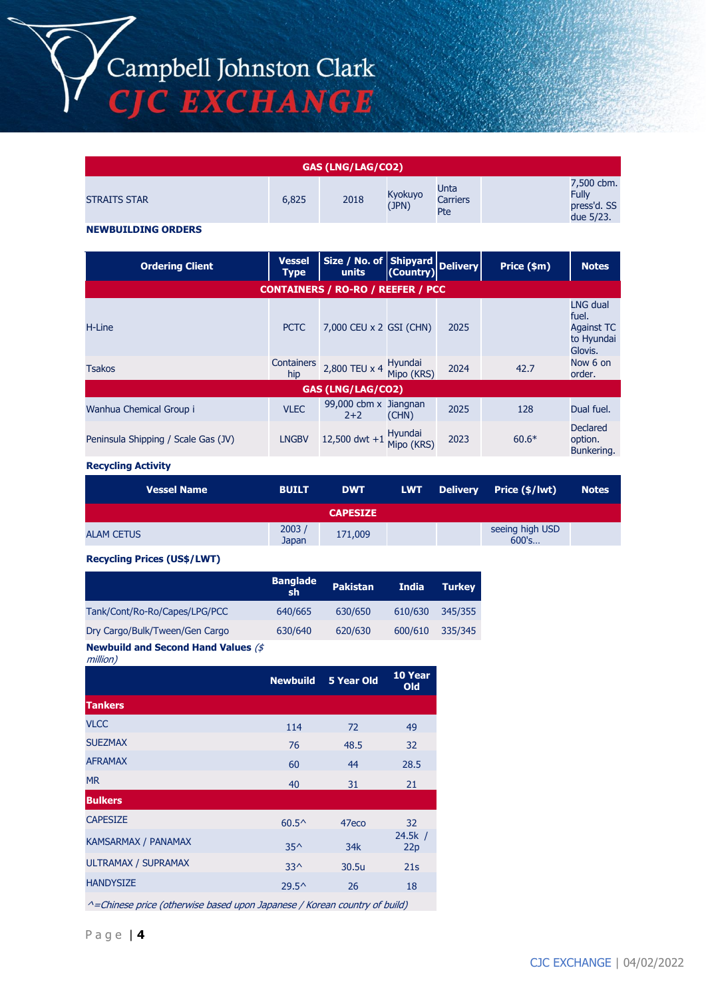Campbell Johnston Clark<br>CJC EXCHANGE

| <b>GAS (LNG/LAG/CO2)</b> |       |      |                  |                                |                                                        |
|--------------------------|-------|------|------------------|--------------------------------|--------------------------------------------------------|
| <b>STRAITS STAR</b>      | 6,825 | 2018 | Kyokuyo<br>(JPN) | Unta<br><b>Carriers</b><br>Pte | 7,500 cbm.<br><b>Fully</b><br>press'd. SS<br>due 5/23. |

#### **NEWBUILDING ORDERS**

| <b>Ordering Client</b>                   | <b>Vessel</b><br><b>Type</b> | Size / No. of Shipyard<br>units (Country) |                       | <b>Delivery</b> | Price (\$m) | <b>Notes</b>                                                           |  |  |
|------------------------------------------|------------------------------|-------------------------------------------|-----------------------|-----------------|-------------|------------------------------------------------------------------------|--|--|
| <b>CONTAINERS / RO-RO / REEFER / PCC</b> |                              |                                           |                       |                 |             |                                                                        |  |  |
| H-Line                                   | <b>PCTC</b>                  | 7,000 CEU x 2 GSI (CHN)                   |                       | 2025            |             | <b>LNG dual</b><br>fuel.<br><b>Against TC</b><br>to Hyundai<br>Glovis. |  |  |
| <b>Tsakos</b>                            | Containers<br>hip            | 2,800 TEU x 4                             | Hyundai<br>Mipo (KRS) | 2024            | 42.7        | Now 6 on<br>order.                                                     |  |  |
|                                          |                              | <b>GAS (LNG/LAG/CO2)</b>                  |                       |                 |             |                                                                        |  |  |
| Wanhua Chemical Group i                  | <b>VLEC</b>                  | 99,000 cbm x Jiangnan<br>$2+2$            | (CHN)                 | 2025            | 128         | Dual fuel.                                                             |  |  |
| Peninsula Shipping / Scale Gas (JV)      | <b>LNGBV</b>                 | 12,500 dwt +1                             | Hyundai<br>Mipo (KRS) | 2023            | $60.6*$     | Declared<br>option.<br>Bunkering.                                      |  |  |

#### **Recycling Activity**

| <b>Vessel Name</b> | <b>BUILT</b>   | <b>DWT</b>      |  | LWT Delivery Price (\$/lwt) | Notes |
|--------------------|----------------|-----------------|--|-----------------------------|-------|
|                    |                | <b>CAPESIZE</b> |  |                             |       |
| <b>ALAM CETUS</b>  | 2003/<br>Japan | 171,009         |  | seeing high USD<br>600's    |       |

#### **Recycling Prices (US\$/LWT)**

|                                | <b>Banglade</b><br>sh | <b>Pakistan</b> | <b>India</b> | <b>Turkey</b> |
|--------------------------------|-----------------------|-----------------|--------------|---------------|
| Tank/Cont/Ro-Ro/Capes/LPG/PCC  | 640/665               | 630/650         | 610/630      | 345/355       |
| Dry Cargo/Bulk/Tween/Gen Cargo | 630/640               | 620/630         | 600/610      | 335/345       |
|                                |                       |                 |              |               |

**Newbuild and Second Hand Values** (\$ million)

| $\frac{1}{1}$              |                 |                   |                |
|----------------------------|-----------------|-------------------|----------------|
|                            | <b>Newbuild</b> | <b>5 Year Old</b> | 10 Year<br>Old |
| <b>Tankers</b>             |                 |                   |                |
| <b>VLCC</b>                | 114             | 72                | 49             |
| <b>SUEZMAX</b>             | 76              | 48.5              | 32             |
| <b>AFRAMAX</b>             | 60              | 44                | 28.5           |
| <b>MR</b>                  | 40              | 31                | 21             |
| <b>Bulkers</b>             |                 |                   |                |
| <b>CAPESIZE</b>            | $60.5^{\circ}$  | 47eco             | 32             |
| KAMSARMAX / PANAMAX        | $35^$           | 34k               | 24.5k /<br>22p |
| <b>ULTRAMAX / SUPRAMAX</b> | $33^$           | 30.5u             | 21s            |
| <b>HANDYSIZE</b>           | $29.5^{\circ}$  | 26                | 18             |
|                            |                 |                   |                |

^=Chinese price (otherwise based upon Japanese / Korean country of build)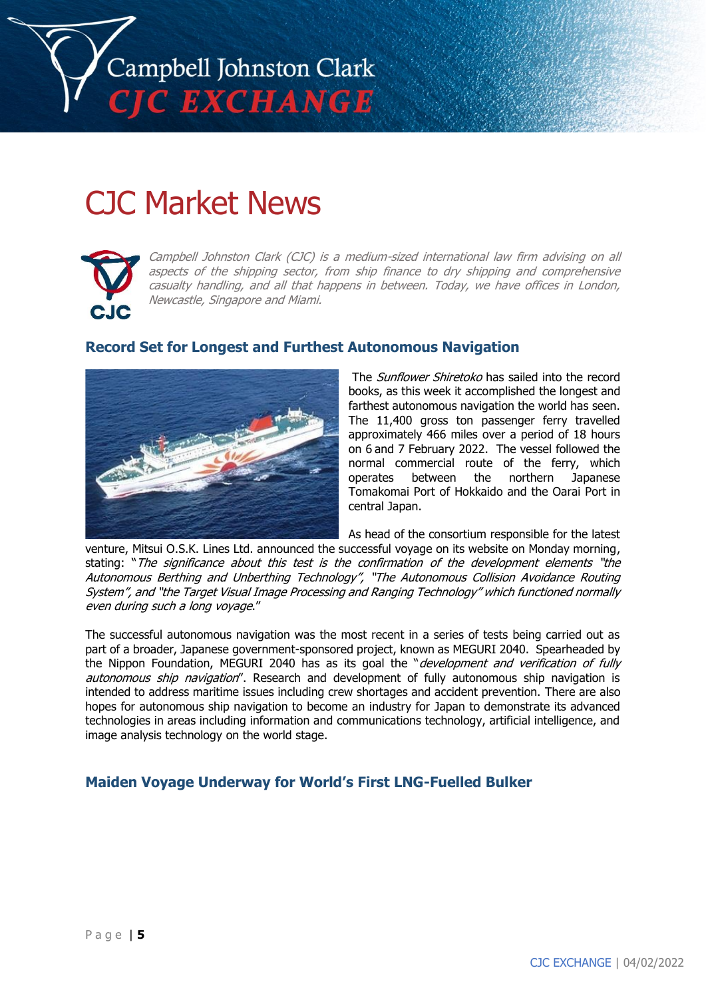

# CJC Market News



Campbell Johnston Clark (CJC) is a medium-sized international law firm advising on all aspects of the shipping sector, from ship finance to dry shipping and comprehensive casualty handling, and all that happens in between. Today, we have offices in London, Newcastle, Singapore and Miami.

## **Record Set for Longest and Furthest Autonomous Navigation**



The Sunflower Shiretoko has sailed into the record books, as this week it accomplished the longest and farthest autonomous navigation the world has seen. The 11,400 gross ton passenger ferry travelled approximately 466 miles over a period of 18 hours on 6 and 7 February 2022. The vessel followed the normal commercial route of the ferry, which operates between the northern Japanese Tomakomai Port of Hokkaido and the Oarai Port in central Japan.

As head of the consortium responsible for the latest

venture, Mitsui O.S.K. Lines Ltd. announced the successful voyage on its website on Monday morning, stating: "The significance about this test is the confirmation of the development elements "the Autonomous Berthing and Unberthing Technology", "The Autonomous Collision Avoidance Routing System", and "the Target Visual Image Processing and Ranging Technology" which functioned normally even during such a long voyage."

The successful autonomous navigation was the most recent in a series of tests being carried out as part of a broader, Japanese government-sponsored project, known as MEGURI 2040. Spearheaded by the Nippon Foundation, MEGURI 2040 has as its goal the "development and verification of fully autonomous ship navigation". Research and development of fully autonomous ship navigation is intended to address maritime issues including crew shortages and accident prevention. There are also hopes for autonomous ship navigation to become an industry for Japan to demonstrate its advanced technologies in areas including information and communications technology, artificial intelligence, and image analysis technology on the world stage.

## **Maiden Voyage Underway for World's First LNG-Fuelled Bulker**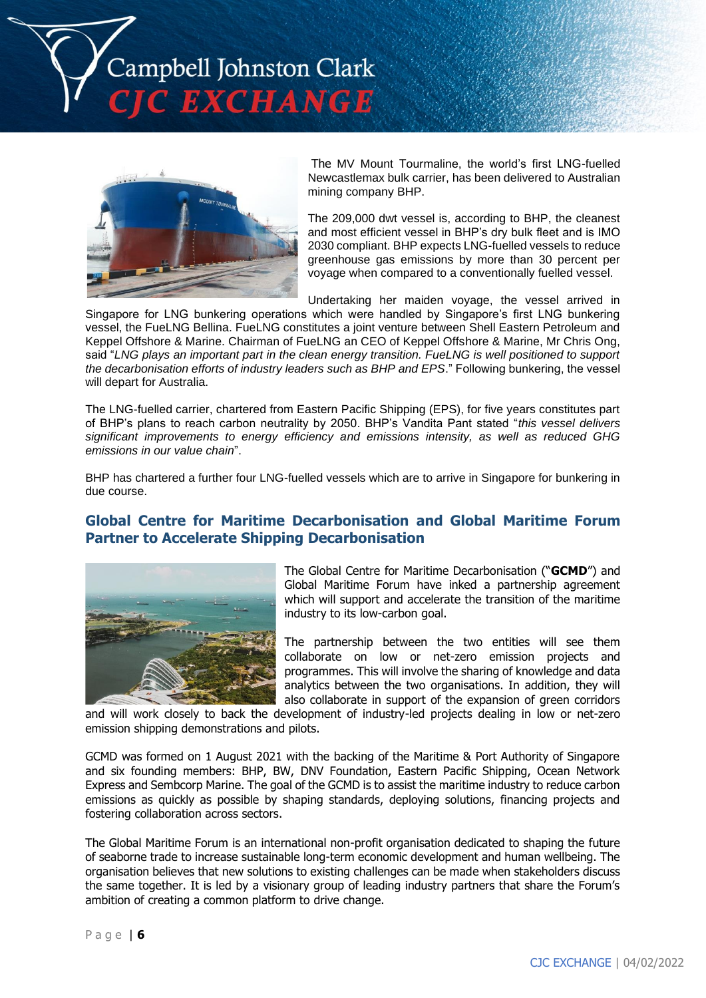



The MV Mount Tourmaline, the world's first LNG-fuelled Newcastlemax bulk carrier, has been delivered to Australian mining company BHP.

The 209,000 dwt vessel is, according to BHP, the cleanest and most efficient vessel in BHP's dry bulk fleet and is IMO 2030 compliant. BHP expects LNG-fuelled vessels to reduce greenhouse gas emissions by more than 30 percent per voyage when compared to a conventionally fuelled vessel.

Undertaking her maiden voyage, the vessel arrived in

Singapore for LNG bunkering operations which were handled by Singapore's first LNG bunkering vessel, the FueLNG Bellina. FueLNG constitutes a joint venture between Shell Eastern Petroleum and Keppel Offshore & Marine. Chairman of FueLNG an CEO of Keppel Offshore & Marine, Mr Chris Ong, said "*LNG plays an important part in the clean energy transition. FueLNG is well positioned to support the decarbonisation efforts of industry leaders such as BHP and EPS*." Following bunkering, the vessel will depart for Australia.

The LNG-fuelled carrier, chartered from Eastern Pacific Shipping (EPS), for five years constitutes part of BHP's plans to reach carbon neutrality by 2050. BHP's Vandita Pant stated "*this vessel delivers significant improvements to energy efficiency and emissions intensity, as well as reduced GHG emissions in our value chain*".

BHP has chartered a further four LNG-fuelled vessels which are to arrive in Singapore for bunkering in due course.

## **Global Centre for Maritime Decarbonisation and Global Maritime Forum Partner to Accelerate Shipping Decarbonisation**



The Global Centre for Maritime Decarbonisation ("**GCMD**") and Global Maritime Forum have inked a partnership agreement which will support and accelerate the transition of the maritime industry to its low-carbon goal.

The partnership between the two entities will see them collaborate on low or net-zero emission projects and programmes. This will involve the sharing of knowledge and data analytics between the two organisations. In addition, they will also collaborate in support of the expansion of green corridors

and will work closely to back the development of industry-led projects dealing in low or net-zero emission shipping demonstrations and pilots.

GCMD was formed on 1 August 2021 with the backing of the Maritime & Port Authority of Singapore and six founding members: BHP, BW, DNV Foundation, Eastern Pacific Shipping, Ocean Network Express and Sembcorp Marine. The goal of the GCMD is to assist the maritime industry to reduce carbon emissions as quickly as possible by shaping standards, deploying solutions, financing projects and fostering collaboration across sectors.

The Global Maritime Forum is an international non-profit organisation dedicated to shaping the future of seaborne trade to increase sustainable long-term economic development and human wellbeing. The organisation believes that new solutions to existing challenges can be made when stakeholders discuss the same together. It is led by a visionary group of leading industry partners that share the Forum's ambition of creating a common platform to drive change.